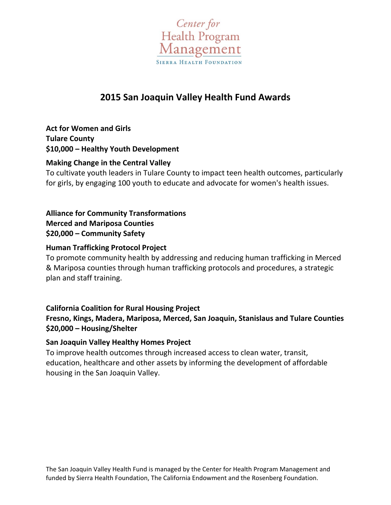

# **2015 San Joaquin Valley Health Fund Awards**

**Act for Women and Girls Tulare County \$10,000 – Healthy Youth Development**

#### **Making Change in the Central Valley**

To cultivate youth leaders in Tulare County to impact teen health outcomes, particularly for girls, by engaging 100 youth to educate and advocate for women's health issues.

**Alliance for Community Transformations Merced and Mariposa Counties \$20,000 – Community Safety**

#### **Human Trafficking Protocol Project**

To promote community health by addressing and reducing human trafficking in Merced & Mariposa counties through human trafficking protocols and procedures, a strategic plan and staff training.

#### **California Coalition for Rural Housing Project Fresno, Kings, Madera, Mariposa, Merced, San Joaquin, Stanislaus and Tulare Counties \$20,000 – Housing/Shelter**

#### **San Joaquin Valley Healthy Homes Project**

To improve health outcomes through increased access to clean water, transit, education, healthcare and other assets by informing the development of affordable housing in the San Joaquin Valley.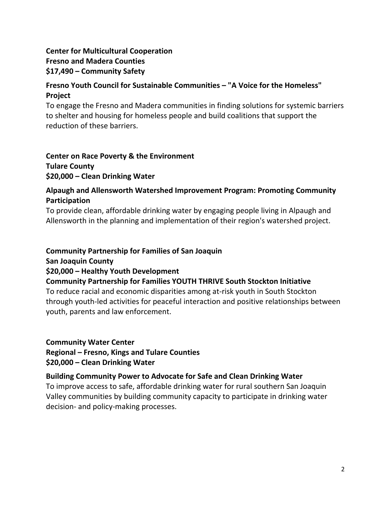# **Center for Multicultural Cooperation Fresno and Madera Counties \$17,490 – Community Safety**

### **Fresno Youth Council for Sustainable Communities – "A Voice for the Homeless" Project**

To engage the Fresno and Madera communities in finding solutions for systemic barriers to shelter and housing for homeless people and build coalitions that support the reduction of these barriers.

**Center on Race Poverty & the Environment Tulare County \$20,000 – Clean Drinking Water**

### **Alpaugh and Allensworth Watershed Improvement Program: Promoting Community Participation**

To provide clean, affordable drinking water by engaging people living in Alpaugh and Allensworth in the planning and implementation of their region's watershed project.

### **Community Partnership for Families of San Joaquin**

**San Joaquin County**

#### **\$20,000 – Healthy Youth Development**

### **Community Partnership for Families YOUTH THRIVE South Stockton Initiative**

To reduce racial and economic disparities among at‐risk youth in South Stockton through youth‐led activities for peaceful interaction and positive relationships between youth, parents and law enforcement.

#### **Community Water Center**

**Regional – Fresno, Kings and Tulare Counties \$20,000 – Clean Drinking Water**

#### **Building Community Power to Advocate for Safe and Clean Drinking Water**

To improve access to safe, affordable drinking water for rural southern San Joaquin Valley communities by building community capacity to participate in drinking water decision‐ and policy‐making processes.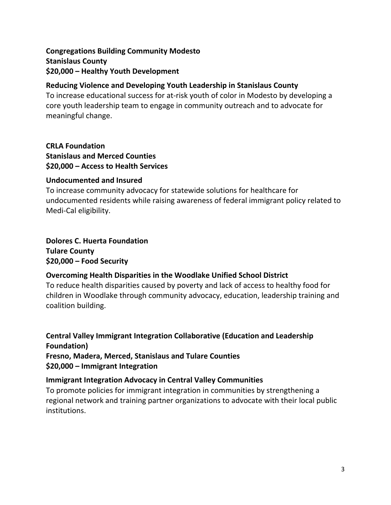### **Congregations Building Community Modesto Stanislaus County \$20,000 – Healthy Youth Development**

### **Reducing Violence and Developing Youth Leadership in Stanislaus County**

To increase educational success for at‐risk youth of color in Modesto by developing a core youth leadership team to engage in community outreach and to advocate for meaningful change.

**CRLA Foundation Stanislaus and Merced Counties \$20,000 – Access to Health Services**

#### **Undocumented and Insured**

To increase community advocacy for statewide solutions for healthcare for undocumented residents while raising awareness of federal immigrant policy related to Medi-Cal eligibility.

### **Dolores C. Huerta Foundation Tulare County \$20,000 – Food Security**

### **Overcoming Health Disparities in the Woodlake Unified School District**

To reduce health disparities caused by poverty and lack of access to healthy food for children in Woodlake through community advocacy, education, leadership training and coalition building.

**Central Valley Immigrant Integration Collaborative (Education and Leadership Foundation) Fresno, Madera, Merced, Stanislaus and Tulare Counties \$20,000 – Immigrant Integration**

### **Immigrant Integration Advocacy in Central Valley Communities**

To promote policies for immigrant integration in communities by strengthening a regional network and training partner organizations to advocate with their local public institutions.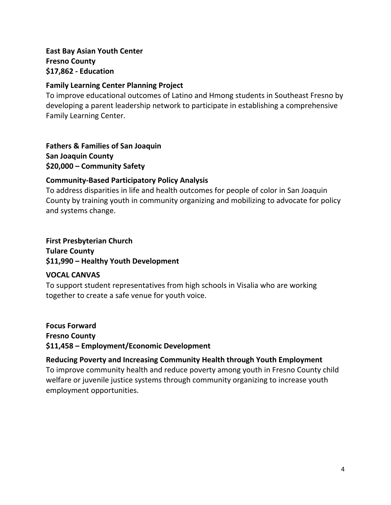### **East Bay Asian Youth Center Fresno County \$17,862 ‐ Education**

#### **Family Learning Center Planning Project**

To improve educational outcomes of Latino and Hmong students in Southeast Fresno by developing a parent leadership network to participate in establishing a comprehensive Family Learning Center.

**Fathers & Families of San Joaquin San Joaquin County \$20,000 – Community Safety**

### **Community‐Based Participatory Policy Analysis**

To address disparities in life and health outcomes for people of color in San Joaquin County by training youth in community organizing and mobilizing to advocate for policy and systems change.

### **First Presbyterian Church Tulare County \$11,990 – Healthy Youth Development**

### **VOCAL CANVAS**

To support student representatives from high schools in Visalia who are working together to create a safe venue for youth voice.

**Focus Forward Fresno County \$11,458 – Employment/Economic Development**

### **Reducing Poverty and Increasing Community Health through Youth Employment**

To improve community health and reduce poverty among youth in Fresno County child welfare or juvenile justice systems through community organizing to increase youth employment opportunities.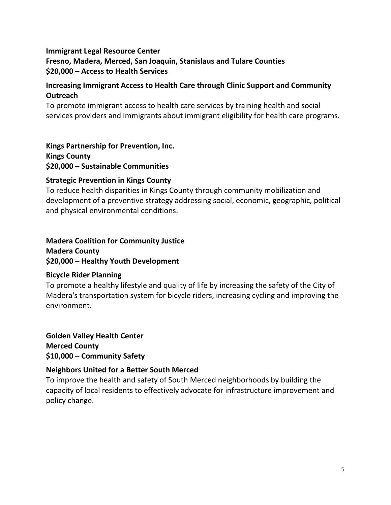### **Immigrant Legal Resource Center Fresno, Madera, Merced, San Joaquin, Stanislaus and Tulare Counties \$20,000 – Access to Health Services**

### **Increasing Immigrant Access to Health Care through Clinic Support and Community Outreach**

To promote immigrant access to health care services by training health and social services providers and immigrants about immigrant eligibility for health care programs.

**Kings Partnership for Prevention, Inc. Kings County \$20,000 – Sustainable Communities**

### **Strategic Prevention in Kings County**

To reduce health disparities in Kings County through community mobilization and development of a preventive strategy addressing social, economic, geographic, political and physical environmental conditions.

### **Madera Coalition for Community Justice Madera County \$20,000 – Healthy Youth Development**

### **Bicycle Rider Planning**

To promote a healthy lifestyle and quality of life by increasing the safety of the City of Madera's transportation system for bicycle riders, increasing cycling and improving the environment.

**Golden Valley Health Center Merced County \$10,000 – Community Safety**

### **Neighbors United for a Better South Merced**

To improve the health and safety of South Merced neighborhoods by building the capacity of local residents to effectively advocate for infrastructure improvement and policy change.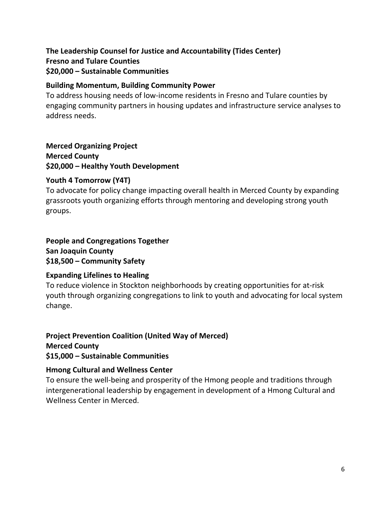# **The Leadership Counsel for Justice and Accountability (Tides Center) Fresno and Tulare Counties \$20,000 – Sustainable Communities**

#### **Building Momentum, Building Community Power**

To address housing needs of low‐income residents in Fresno and Tulare counties by engaging community partners in housing updates and infrastructure service analyses to address needs.

# **Merced Organizing Project**

**Merced County \$20,000 – Healthy Youth Development**

### **Youth 4 Tomorrow (Y4T)**

To advocate for policy change impacting overall health in Merced County by expanding grassroots youth organizing efforts through mentoring and developing strong youth groups.

### **People and Congregations Together San Joaquin County \$18,500 – Community Safety**

### **Expanding Lifelines to Healing**

To reduce violence in Stockton neighborhoods by creating opportunities for at‐risk youth through organizing congregations to link to youth and advocating for local system change.

### **Project Prevention Coalition (United Way of Merced) Merced County**

**\$15,000 – Sustainable Communities**

### **Hmong Cultural and Wellness Center**

To ensure the well‐being and prosperity of the Hmong people and traditions through intergenerational leadership by engagement in development of a Hmong Cultural and Wellness Center in Merced.